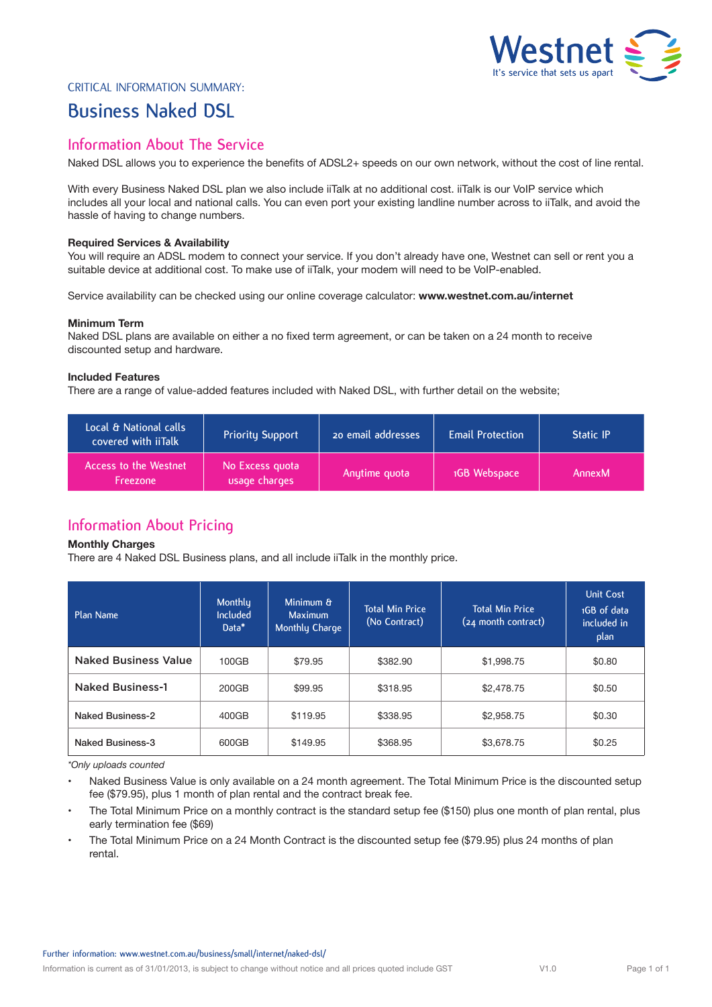

### Critical Information Summary:

# **Business Naked DSL**

## **Information About The Service**

Naked DSL allows you to experience the benefits of ADSL2+ speeds on our own network, without the cost of line rental.

With every Business Naked DSL plan we also include iiTalk at no additional cost. iiTalk is our VoIP service which includes all your local and national calls. You can even port your existing landline number across to iiTalk, and avoid the hassle of having to change numbers.

#### **Required Services & Availability**

You will require an ADSL modem to connect your service. If you don't already have one, Westnet can sell or rent you a suitable device at additional cost. To make use of iiTalk, your modem will need to be VoIP-enabled.

Service availability can be checked using our online coverage calculator: **www.westnet.com.au/internet**

#### **Minimum Term**

Naked DSL plans are available on either a no fixed term agreement, or can be taken on a 24 month to receive discounted setup and hardware.

### **Included Features**

There are a range of value-added features included with Naked DSL, with further detail on the website;

| Local & National calls<br>covered with iiTalk | <b>Priority Support</b>          | 20 email addresses | <b>Email Protection</b> | <b>Static IP</b> |
|-----------------------------------------------|----------------------------------|--------------------|-------------------------|------------------|
| Access to the Westnet<br><b>Freezone</b>      | No Excess quota<br>usage charges | Anytime quota      | 1GB Webspace            | AnnexM           |

# **Information About Pricing**

#### **Monthly Charges**

There are 4 Naked DSL Business plans, and all include iiTalk in the monthly price.

| Plan Name                   | Monthly<br><b>Included</b><br>Data* | Minimum &<br><b>Maximum</b><br>Monthly Charge | <b>Total Min Price</b><br>(No Contract) | <b>Total Min Price</b><br>(24 month contract) | <b>Unit Cost</b><br>1GB of data<br>included in<br>plan |
|-----------------------------|-------------------------------------|-----------------------------------------------|-----------------------------------------|-----------------------------------------------|--------------------------------------------------------|
| <b>Naked Business Value</b> | 100GB                               | \$79.95                                       | \$382.90                                | \$1,998.75                                    | \$0.80                                                 |
| <b>Naked Business-1</b>     | 200GB                               | \$99.95                                       | \$318.95                                | \$2,478.75                                    | \$0.50                                                 |
| Naked Business-2            | 400GB                               | \$119.95                                      | \$338.95                                | \$2,958.75                                    | \$0.30                                                 |
| <b>Naked Business-3</b>     | 600GB                               | \$149.95                                      | \$368.95                                | \$3,678.75                                    | \$0.25                                                 |

*\*Only uploads counted*

Naked Business Value is only available on a 24 month agreement. The Total Minimum Price is the discounted setup fee (\$79.95), plus 1 month of plan rental and the contract break fee.

- The Total Minimum Price on a monthly contract is the standard setup fee (\$150) plus one month of plan rental, plus early termination fee (\$69)
- The Total Minimum Price on a 24 Month Contract is the discounted setup fee (\$79.95) plus 24 months of plan rental.